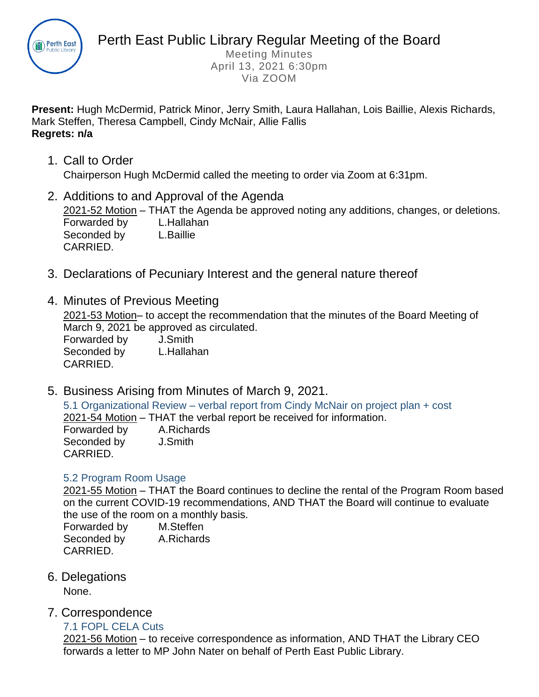

Meeting Minutes April 13, 2021 6:30pm Via ZOOM

**Present:** Hugh McDermid, Patrick Minor, Jerry Smith, Laura Hallahan, Lois Baillie, Alexis Richards, Mark Steffen, Theresa Campbell, Cindy McNair, Allie Fallis **Regrets: n/a**

- 1. Call to Order Chairperson Hugh McDermid called the meeting to order via Zoom at 6:31pm.
- 2. Additions to and Approval of the Agenda 2021-52 Motion – THAT the Agenda be approved noting any additions, changes, or deletions. Forwarded by L.Hallahan Seconded by L.Baillie CARRIED.
- 3. Declarations of Pecuniary Interest and the general nature thereof
- 4. Minutes of Previous Meeting

2021-53 Motion– to accept the recommendation that the minutes of the Board Meeting of March 9, 2021 be approved as circulated.

Forwarded by J.Smith Seconded by L.Hallahan CARRIED.

5. Business Arising from Minutes of March 9, 2021.

5.1 Organizational Review – verbal report from Cindy McNair on project plan + cost 2021-54 Motion – THAT the verbal report be received for information. Forwarded by A.Richards Seconded by J.Smith

## 5.2 Program Room Usage

2021-55 Motion – THAT the Board continues to decline the rental of the Program Room based on the current COVID-19 recommendations, AND THAT the Board will continue to evaluate the use of the room on a monthly basis.

Forwarded by M.Steffen Seconded by A.Richards CARRIED.

6. Delegations

CARRIED.

None.

7. Correspondence

## 7.1 FOPL CELA Cuts

2021-56 Motion – to receive correspondence as information, AND THAT the Library CEO forwards a letter to MP John Nater on behalf of Perth East Public Library.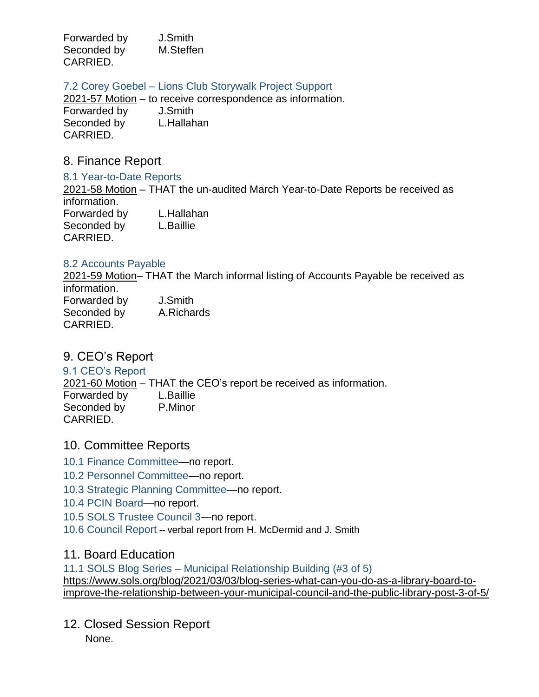Forwarded by J.Smith Seconded by **M.Steffen** CARRIED.

7.2 Corey Goebel – Lions Club Storywalk Project Support

2021-57 Motion – to receive correspondence as information. Forwarded by J.Smith Seconded by L.Hallahan CARRIED.

## 8. Finance Report

8.1 Year-to-Date Reports

2021-58 Motion – THAT the un-audited March Year-to-Date Reports be received as information. Forwarded by L.Hallahan Seconded by L.Baillie CARRIED.

#### 8.2 Accounts Payable

2021-59 Motion– THAT the March informal listing of Accounts Payable be received as information.

Forwarded by J.Smith Seconded by A.Richards CARRIED.

# 9. CEO's Report

9.1 CEO's Report

2021-60 Motion – THAT the CEO's report be received as information. Forwarded by L.Baillie Seconded by P.Minor CARRIED.

# 10. Committee Reports

- 10.1 Finance Committee—no report.
- 10.2 Personnel Committee—no report.
- 10.3 Strategic Planning Committee—no report.
- 10.4 PCIN Board—no report.
- 10.5 SOLS Trustee Council 3—no report.
- 10.6 Council Report **--** verbal report from H. McDermid and J. Smith

# 11. Board Education

11.1 SOLS Blog Series – Municipal Relationship Building (#3 of 5) [https://www.sols.org/blog/2021/03/03/blog-series-what-can-you-do-as-a-library-board-to](https://www.sols.org/blog/2021/03/03/blog-series-what-can-you-do-as-a-library-board-to-improve-the-relationship-between-your-municipal-council-and-the-public-library-post-3-of-5/)[improve-the-relationship-between-your-municipal-council-and-the-public-library-post-3-of-5/](https://www.sols.org/blog/2021/03/03/blog-series-what-can-you-do-as-a-library-board-to-improve-the-relationship-between-your-municipal-council-and-the-public-library-post-3-of-5/)

12. Closed Session Report

None.